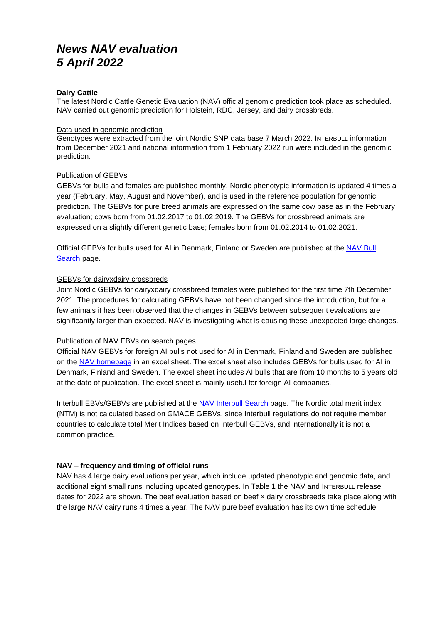# *News NAV evaluation 5 April 2022*

### **Dairy Cattle**

The latest Nordic Cattle Genetic Evaluation (NAV) official genomic prediction took place as scheduled. NAV carried out genomic prediction for Holstein, RDC, Jersey, and dairy crossbreds.

#### Data used in genomic prediction

Genotypes were extracted from the joint Nordic SNP data base 7 March 2022. INTERBULL information from December 2021 and national information from 1 February 2022 run were included in the genomic prediction.

#### Publication of GEBVs

GEBVs for bulls and females are published monthly. Nordic phenotypic information is updated 4 times a year (February, May, August and November), and is used in the reference population for genomic prediction. The GEBVs for pure breed animals are expressed on the same cow base as in the February evaluation; cows born from 01.02.2017 to 01.02.2019. The GEBVs for crossbreed animals are expressed on a slightly different genetic base; females born from 01.02.2014 to 01.02.2021.

Official GEBVs for bulls used for AI in Denmark, Finland or Sweden are published at the [NAV Bull](https://nordic.mloy.fi/navbull)  [Search](https://nordic.mloy.fi/navbull) page.

#### GEBVs for dairyxdairy crossbreds

Joint Nordic GEBVs for dairyxdairy crossbreed females were published for the first time 7th December 2021. The procedures for calculating GEBVs have not been changed since the introduction, but for a few animals it has been observed that the changes in GEBVs between subsequent evaluations are significantly larger than expected. NAV is investigating what is causing these unexpected large changes.

## Publication of NAV EBVs on search pages

Official NAV GEBVs for foreign AI bulls not used for AI in Denmark, Finland and Sweden are published on the [NAV homepage](http://www.nordicebv.info/genomic-evaluation/) in an excel sheet. The excel sheet also includes GEBVs for bulls used for AI in Denmark, Finland and Sweden. The excel sheet includes AI bulls that are from 10 months to 5 years old at the date of publication. The excel sheet is mainly useful for foreign AI-companies.

Interbull EBVs/GEBVs are published at the [NAV Interbull Search](https://nordic.mloy.fi/InterBull) page. The Nordic total merit index (NTM) is not calculated based on GMACE GEBVs, since Interbull regulations do not require member countries to calculate total Merit Indices based on Interbull GEBVs, and internationally it is not a common practice.

## **NAV – frequency and timing of official runs**

NAV has 4 large dairy evaluations per year, which include updated phenotypic and genomic data, and additional eight small runs including updated genotypes. In Table 1 the NAV and INTERBULL release dates for 2022 are shown. The beef evaluation based on beef x dairy crossbreeds take place along with the large NAV dairy runs 4 times a year. The NAV pure beef evaluation has its own time schedule